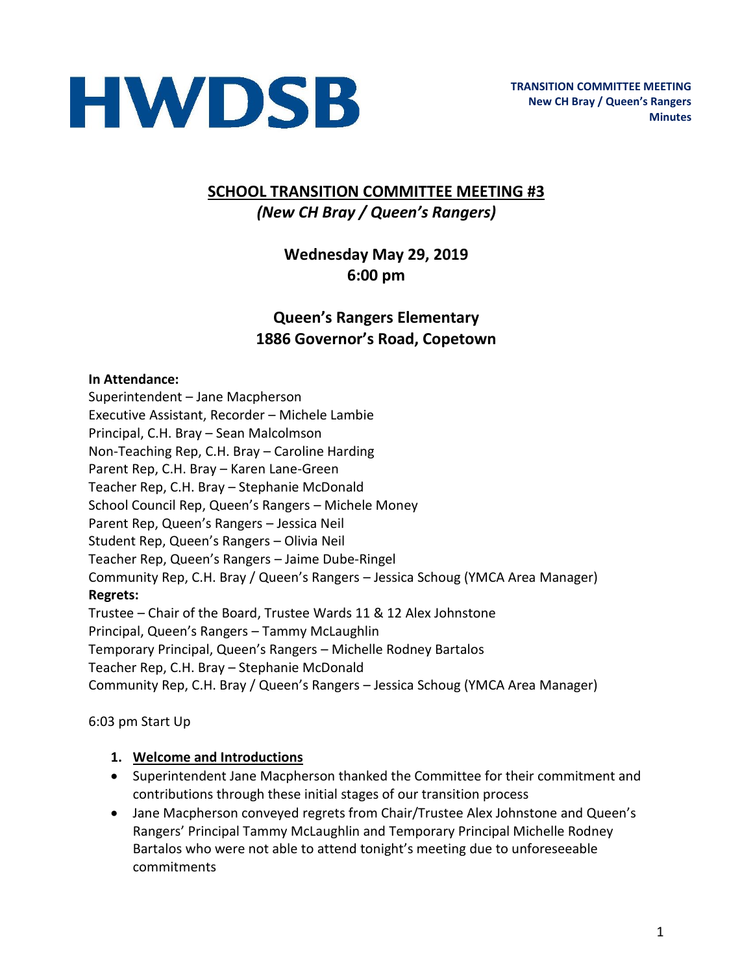

## **SCHOOL TRANSITION COMMITTEE MEETING #3** *(New CH Bray / Queen's Rangers)*

# **Wednesday May 29, 2019 6:00 pm**

# **Queen's Rangers Elementary 1886 Governor's Road, Copetown**

#### **In Attendance:**

Superintendent – Jane Macpherson Executive Assistant, Recorder – Michele Lambie Principal, C.H. Bray – Sean Malcolmson Non-Teaching Rep, C.H. Bray – Caroline Harding Parent Rep, C.H. Bray – Karen Lane-Green Teacher Rep, C.H. Bray – Stephanie McDonald School Council Rep, Queen's Rangers – Michele Money Parent Rep, Queen's Rangers – Jessica Neil Student Rep, Queen's Rangers – Olivia Neil Teacher Rep, Queen's Rangers – Jaime Dube-Ringel Community Rep, C.H. Bray / Queen's Rangers – Jessica Schoug (YMCA Area Manager) **Regrets:**  Trustee – Chair of the Board, Trustee Wards 11 & 12 Alex Johnstone Principal, Queen's Rangers – Tammy McLaughlin Temporary Principal, Queen's Rangers – Michelle Rodney Bartalos Teacher Rep, C.H. Bray – Stephanie McDonald Community Rep, C.H. Bray / Queen's Rangers – Jessica Schoug (YMCA Area Manager)

6:03 pm Start Up

#### **1. Welcome and Introductions**

- Superintendent Jane Macpherson thanked the Committee for their commitment and contributions through these initial stages of our transition process
- Jane Macpherson conveyed regrets from Chair/Trustee Alex Johnstone and Queen's Rangers' Principal Tammy McLaughlin and Temporary Principal Michelle Rodney Bartalos who were not able to attend tonight's meeting due to unforeseeable commitments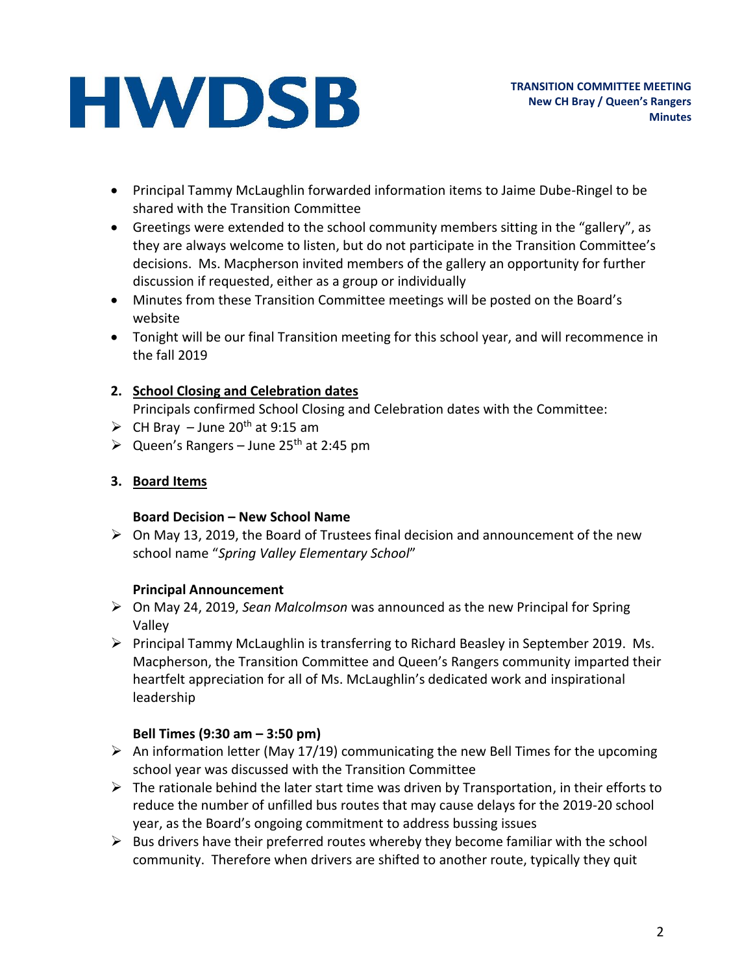- Principal Tammy McLaughlin forwarded information items to Jaime Dube-Ringel to be shared with the Transition Committee
- Greetings were extended to the school community members sitting in the "gallery", as they are always welcome to listen, but do not participate in the Transition Committee's decisions. Ms. Macpherson invited members of the gallery an opportunity for further discussion if requested, either as a group or individually
- Minutes from these Transition Committee meetings will be posted on the Board's website
- Tonight will be our final Transition meeting for this school year, and will recommence in the fall 2019

### **2. School Closing and Celebration dates**

Principals confirmed School Closing and Celebration dates with the Committee:

- $\triangleright$  CH Bray June 20<sup>th</sup> at 9:15 am
- $\triangleright$  Queen's Rangers June 25<sup>th</sup> at 2:45 pm

### **3. Board Items**

### **Board Decision – New School Name**

 $\triangleright$  On May 13, 2019, the Board of Trustees final decision and announcement of the new school name "*Spring Valley Elementary School*"

### **Principal Announcement**

- On May 24, 2019, *Sean Malcolmson* was announced as the new Principal for Spring Valley
- $\triangleright$  Principal Tammy McLaughlin is transferring to Richard Beasley in September 2019. Ms. Macpherson, the Transition Committee and Queen's Rangers community imparted their heartfelt appreciation for all of Ms. McLaughlin's dedicated work and inspirational leadership

## **Bell Times (9:30 am – 3:50 pm)**

- An information letter (May 17/19) communicating the new Bell Times for the upcoming school year was discussed with the Transition Committee
- $\triangleright$  The rationale behind the later start time was driven by Transportation, in their efforts to reduce the number of unfilled bus routes that may cause delays for the 2019-20 school year, as the Board's ongoing commitment to address bussing issues
- $\triangleright$  Bus drivers have their preferred routes whereby they become familiar with the school community. Therefore when drivers are shifted to another route, typically they quit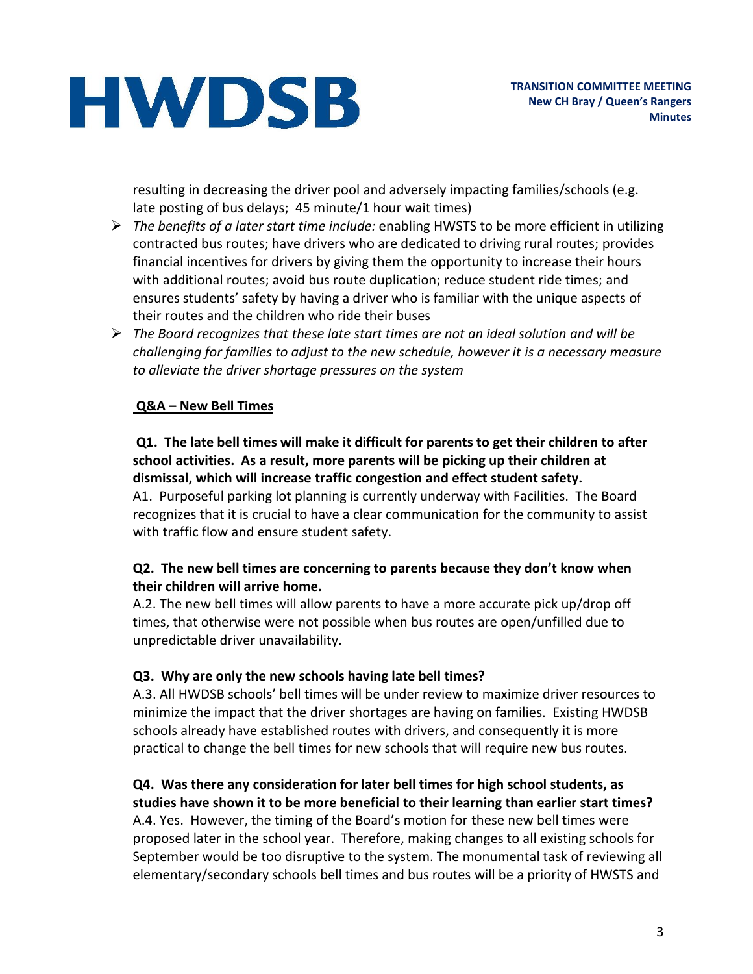resulting in decreasing the driver pool and adversely impacting families/schools (e.g. late posting of bus delays; 45 minute/1 hour wait times)

- *The benefits of a later start time include:* enabling HWSTS to be more efficient in utilizing contracted bus routes; have drivers who are dedicated to driving rural routes; provides financial incentives for drivers by giving them the opportunity to increase their hours with additional routes; avoid bus route duplication; reduce student ride times; and ensures students' safety by having a driver who is familiar with the unique aspects of their routes and the children who ride their buses
- *The Board recognizes that these late start times are not an ideal solution and will be challenging for families to adjust to the new schedule, however it is a necessary measure to alleviate the driver shortage pressures on the system*

#### **Q&A – New Bell Times**

#### **Q1. The late bell times will make it difficult for parents to get their children to after school activities. As a result, more parents will be picking up their children at dismissal, which will increase traffic congestion and effect student safety.**

A1. Purposeful parking lot planning is currently underway with Facilities. The Board recognizes that it is crucial to have a clear communication for the community to assist with traffic flow and ensure student safety.

#### **Q2. The new bell times are concerning to parents because they don't know when their children will arrive home.**

A.2. The new bell times will allow parents to have a more accurate pick up/drop off times, that otherwise were not possible when bus routes are open/unfilled due to unpredictable driver unavailability.

#### **Q3. Why are only the new schools having late bell times?**

A.3. All HWDSB schools' bell times will be under review to maximize driver resources to minimize the impact that the driver shortages are having on families. Existing HWDSB schools already have established routes with drivers, and consequently it is more practical to change the bell times for new schools that will require new bus routes.

#### **Q4. Was there any consideration for later bell times for high school students, as studies have shown it to be more beneficial to their learning than earlier start times?**

A.4. Yes. However, the timing of the Board's motion for these new bell times were proposed later in the school year. Therefore, making changes to all existing schools for September would be too disruptive to the system. The monumental task of reviewing all elementary/secondary schools bell times and bus routes will be a priority of HWSTS and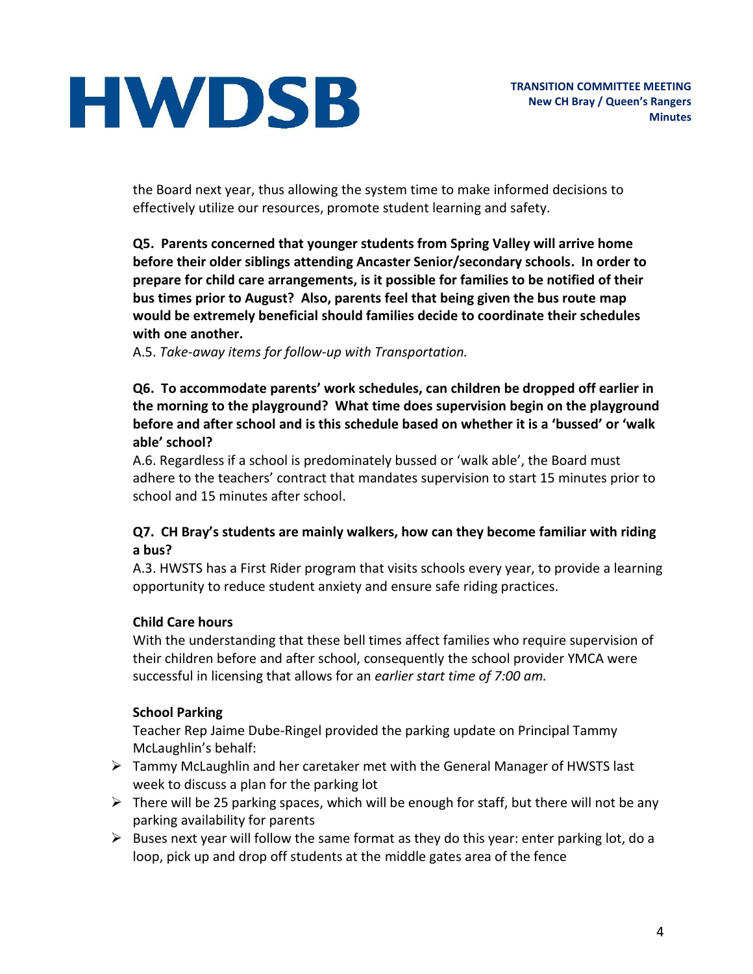the Board next year, thus allowing the system time to make informed decisions to effectively utilize our resources, promote student learning and safety.

**Q5. Parents concerned that younger students from Spring Valley will arrive home before their older siblings attending Ancaster Senior/secondary schools. In order to prepare for child care arrangements, is it possible for families to be notified of their bus times prior to August? Also, parents feel that being given the bus route map would be extremely beneficial should families decide to coordinate their schedules with one another.**

A.5. *Take-away items for follow-up with Transportation.*

#### **Q6. To accommodate parents' work schedules, can children be dropped off earlier in the morning to the playground? What time does supervision begin on the playground before and after school and is this schedule based on whether it is a 'bussed' or 'walk able' school?**

A.6. Regardless if a school is predominately bussed or 'walk able', the Board must adhere to the teachers' contract that mandates supervision to start 15 minutes prior to school and 15 minutes after school.

### **Q7. CH Bray's students are mainly walkers, how can they become familiar with riding a bus?**

A.3. HWSTS has a First Rider program that visits schools every year, to provide a learning opportunity to reduce student anxiety and ensure safe riding practices.

### **Child Care hours**

With the understanding that these bell times affect families who require supervision of their children before and after school, consequently the school provider YMCA were successful in licensing that allows for an *earlier start time of 7:00 am.*

### **School Parking**

Teacher Rep Jaime Dube-Ringel provided the parking update on Principal Tammy McLaughlin's behalf:

- $\triangleright$  Tammy McLaughlin and her caretaker met with the General Manager of HWSTS last week to discuss a plan for the parking lot
- $\triangleright$  There will be 25 parking spaces, which will be enough for staff, but there will not be any parking availability for parents
- $\triangleright$  Buses next year will follow the same format as they do this year: enter parking lot, do a loop, pick up and drop off students at the middle gates area of the fence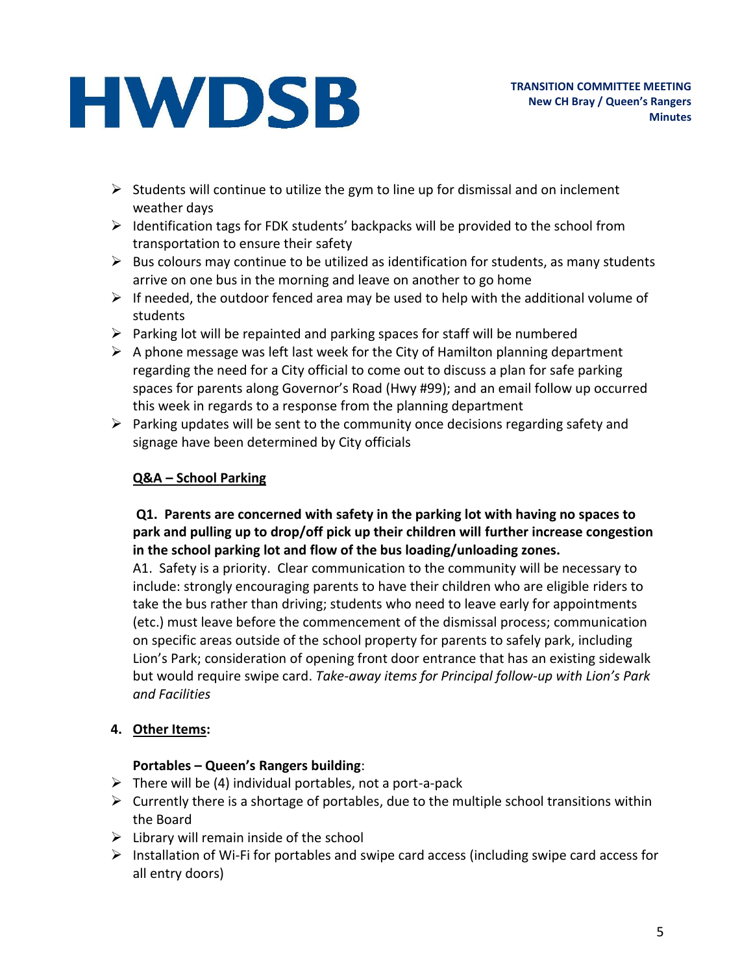- $\triangleright$  Students will continue to utilize the gym to line up for dismissal and on inclement weather days
- $\triangleright$  Identification tags for FDK students' backpacks will be provided to the school from transportation to ensure their safety
- $\triangleright$  Bus colours may continue to be utilized as identification for students, as many students arrive on one bus in the morning and leave on another to go home
- $\triangleright$  If needed, the outdoor fenced area may be used to help with the additional volume of students
- $\triangleright$  Parking lot will be repainted and parking spaces for staff will be numbered
- $\triangleright$  A phone message was left last week for the City of Hamilton planning department regarding the need for a City official to come out to discuss a plan for safe parking spaces for parents along Governor's Road (Hwy #99); and an email follow up occurred this week in regards to a response from the planning department
- $\triangleright$  Parking updates will be sent to the community once decisions regarding safety and signage have been determined by City officials

## **Q&A – School Parking**

### **Q1. Parents are concerned with safety in the parking lot with having no spaces to park and pulling up to drop/off pick up their children will further increase congestion in the school parking lot and flow of the bus loading/unloading zones.**

A1. Safety is a priority. Clear communication to the community will be necessary to include: strongly encouraging parents to have their children who are eligible riders to take the bus rather than driving; students who need to leave early for appointments (etc.) must leave before the commencement of the dismissal process; communication on specific areas outside of the school property for parents to safely park, including Lion's Park; consideration of opening front door entrance that has an existing sidewalk but would require swipe card. *Take-away items for Principal follow-up with Lion's Park and Facilities*

### **4. Other Items:**

### **Portables – Queen's Rangers building**:

- $\triangleright$  There will be (4) individual portables, not a port-a-pack
- $\triangleright$  Currently there is a shortage of portables, due to the multiple school transitions within the Board
- $\triangleright$  Library will remain inside of the school
- $\triangleright$  Installation of Wi-Fi for portables and swipe card access (including swipe card access for all entry doors)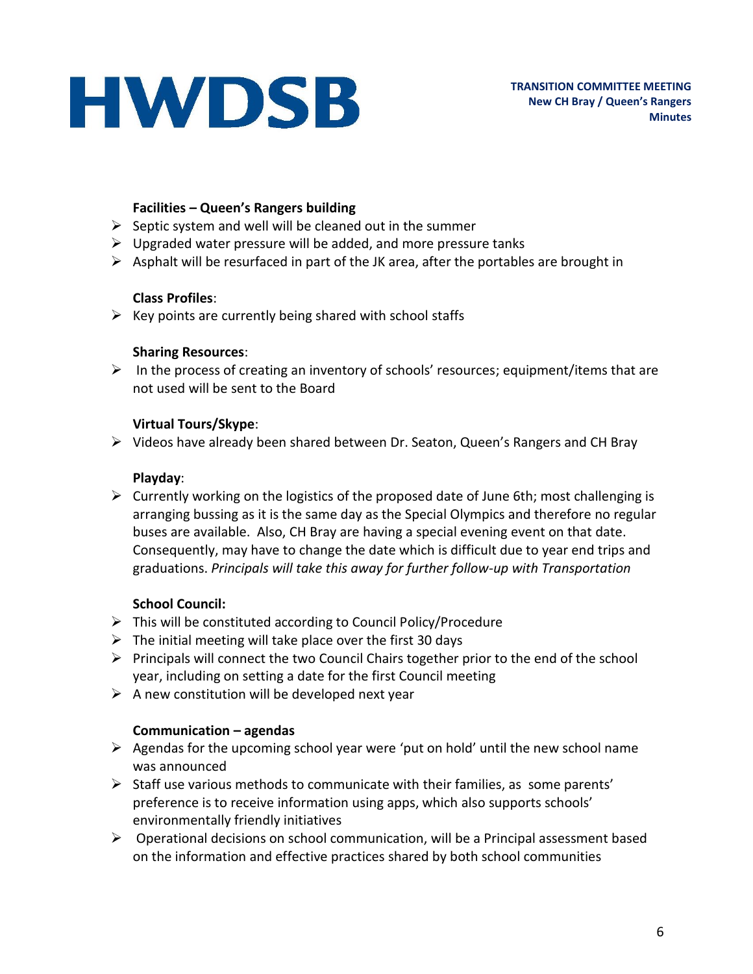#### **Facilities – Queen's Rangers building**

- $\triangleright$  Septic system and well will be cleaned out in the summer
- $\triangleright$  Upgraded water pressure will be added, and more pressure tanks
- $\triangleright$  Asphalt will be resurfaced in part of the JK area, after the portables are brought in

#### **Class Profiles**:

 $\triangleright$  Key points are currently being shared with school staffs

#### **Sharing Resources**:

 $\triangleright$  In the process of creating an inventory of schools' resources; equipment/items that are not used will be sent to the Board

### **Virtual Tours/Skype**:

 $\triangleright$  Videos have already been shared between Dr. Seaton, Queen's Rangers and CH Bray

#### **Playday**:

 $\triangleright$  Currently working on the logistics of the proposed date of June 6th; most challenging is arranging bussing as it is the same day as the Special Olympics and therefore no regular buses are available. Also, CH Bray are having a special evening event on that date. Consequently, may have to change the date which is difficult due to year end trips and graduations. *Principals will take this away for further follow-up with Transportation*

### **School Council:**

- $\triangleright$  This will be constituted according to Council Policy/Procedure
- $\triangleright$  The initial meeting will take place over the first 30 days
- $\triangleright$  Principals will connect the two Council Chairs together prior to the end of the school year, including on setting a date for the first Council meeting
- $\triangleright$  A new constitution will be developed next year

### **Communication – agendas**

- $\triangleright$  Agendas for the upcoming school year were 'put on hold' until the new school name was announced
- $\triangleright$  Staff use various methods to communicate with their families, as some parents' preference is to receive information using apps, which also supports schools' environmentally friendly initiatives
- $\triangleright$  Operational decisions on school communication, will be a Principal assessment based on the information and effective practices shared by both school communities